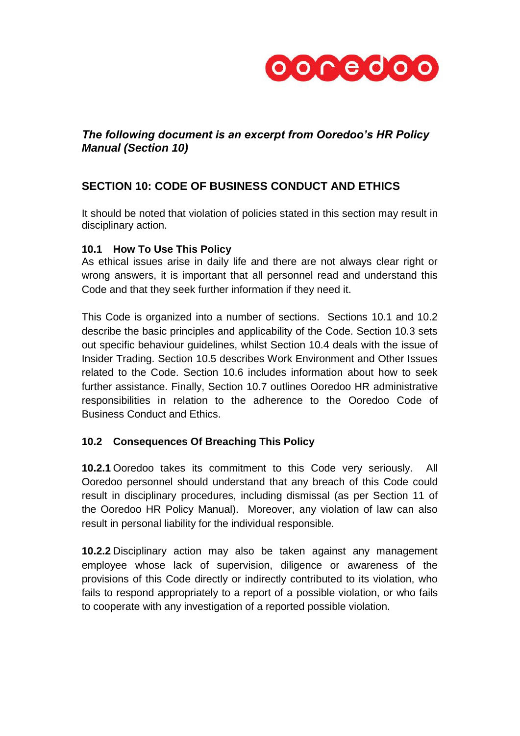

# *The following document is an excerpt from Ooredoo's HR Policy Manual (Section 10)*

# **SECTION 10: CODE OF BUSINESS CONDUCT AND ETHICS**

It should be noted that violation of policies stated in this section may result in disciplinary action.

# **10.1 How To Use This Policy**

As ethical issues arise in daily life and there are not always clear right or wrong answers, it is important that all personnel read and understand this Code and that they seek further information if they need it.

This Code is organized into a number of sections. Sections 10.1 and 10.2 describe the basic principles and applicability of the Code. Section 10.3 sets out specific behaviour guidelines, whilst Section 10.4 deals with the issue of Insider Trading. Section 10.5 describes Work Environment and Other Issues related to the Code. Section 10.6 includes information about how to seek further assistance. Finally, Section 10.7 outlines Ooredoo HR administrative responsibilities in relation to the adherence to the Ooredoo Code of Business Conduct and Ethics.

# **10.2 Consequences Of Breaching This Policy**

**10.2.1** Ooredoo takes its commitment to this Code very seriously. All Ooredoo personnel should understand that any breach of this Code could result in disciplinary procedures, including dismissal (as per Section 11 of the Ooredoo HR Policy Manual). Moreover, any violation of law can also result in personal liability for the individual responsible.

**10.2.2** Disciplinary action may also be taken against any management employee whose lack of supervision, diligence or awareness of the provisions of this Code directly or indirectly contributed to its violation, who fails to respond appropriately to a report of a possible violation, or who fails to cooperate with any investigation of a reported possible violation.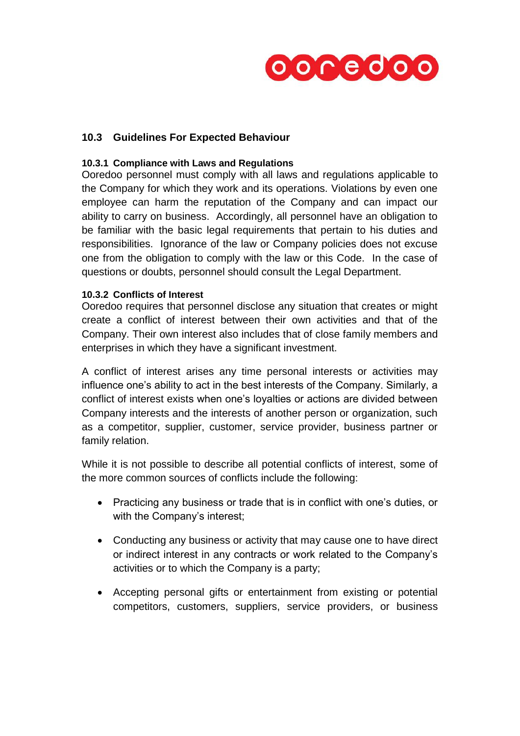

# **10.3 Guidelines For Expected Behaviour**

### **10.3.1 Compliance with Laws and Regulations**

Ooredoo personnel must comply with all laws and regulations applicable to the Company for which they work and its operations. Violations by even one employee can harm the reputation of the Company and can impact our ability to carry on business. Accordingly, all personnel have an obligation to be familiar with the basic legal requirements that pertain to his duties and responsibilities. Ignorance of the law or Company policies does not excuse one from the obligation to comply with the law or this Code. In the case of questions or doubts, personnel should consult the Legal Department.

#### **10.3.2 Conflicts of Interest**

Ooredoo requires that personnel disclose any situation that creates or might create a conflict of interest between their own activities and that of the Company. Their own interest also includes that of close family members and enterprises in which they have a significant investment.

A conflict of interest arises any time personal interests or activities may influence one's ability to act in the best interests of the Company. Similarly, a conflict of interest exists when one's loyalties or actions are divided between Company interests and the interests of another person or organization, such as a competitor, supplier, customer, service provider, business partner or family relation.

While it is not possible to describe all potential conflicts of interest, some of the more common sources of conflicts include the following:

- Practicing any business or trade that is in conflict with one's duties, or with the Company's interest;
- Conducting any business or activity that may cause one to have direct or indirect interest in any contracts or work related to the Company's activities or to which the Company is a party;
- Accepting personal gifts or entertainment from existing or potential competitors, customers, suppliers, service providers, or business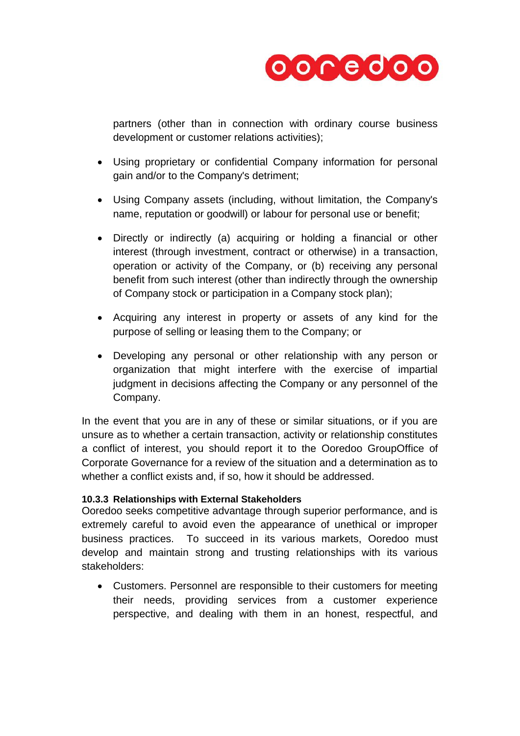

partners (other than in connection with ordinary course business development or customer relations activities);

- Using proprietary or confidential Company information for personal gain and/or to the Company's detriment;
- Using Company assets (including, without limitation, the Company's name, reputation or goodwill) or labour for personal use or benefit;
- Directly or indirectly (a) acquiring or holding a financial or other interest (through investment, contract or otherwise) in a transaction, operation or activity of the Company, or (b) receiving any personal benefit from such interest (other than indirectly through the ownership of Company stock or participation in a Company stock plan);
- Acquiring any interest in property or assets of any kind for the purpose of selling or leasing them to the Company; or
- Developing any personal or other relationship with any person or organization that might interfere with the exercise of impartial judgment in decisions affecting the Company or any personnel of the Company.

In the event that you are in any of these or similar situations, or if you are unsure as to whether a certain transaction, activity or relationship constitutes a conflict of interest, you should report it to the Ooredoo GroupOffice of Corporate Governance for a review of the situation and a determination as to whether a conflict exists and, if so, how it should be addressed.

## **10.3.3 Relationships with External Stakeholders**

Ooredoo seeks competitive advantage through superior performance, and is extremely careful to avoid even the appearance of unethical or improper business practices. To succeed in its various markets, Ooredoo must develop and maintain strong and trusting relationships with its various stakeholders:

 Customers. Personnel are responsible to their customers for meeting their needs, providing services from a customer experience perspective, and dealing with them in an honest, respectful, and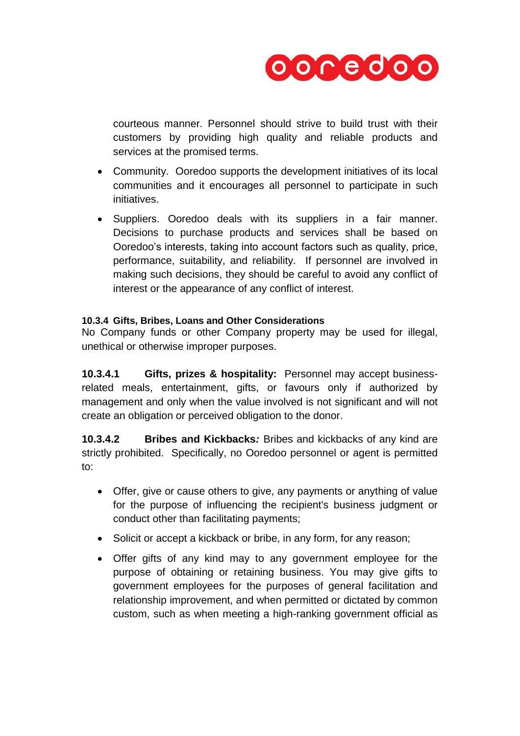

courteous manner. Personnel should strive to build trust with their customers by providing high quality and reliable products and services at the promised terms.

- Community. Ooredoo supports the development initiatives of its local communities and it encourages all personnel to participate in such initiatives.
- Suppliers. Ooredoo deals with its suppliers in a fair manner. Decisions to purchase products and services shall be based on Ooredoo's interests, taking into account factors such as quality, price, performance, suitability, and reliability. If personnel are involved in making such decisions, they should be careful to avoid any conflict of interest or the appearance of any conflict of interest.

## **10.3.4 Gifts, Bribes, Loans and Other Considerations**

No Company funds or other Company property may be used for illegal, unethical or otherwise improper purposes.

**10.3.4.1 Gifts, prizes & hospitality:** Personnel may accept businessrelated meals, entertainment, gifts, or favours only if authorized by management and only when the value involved is not significant and will not create an obligation or perceived obligation to the donor.

**10.3.4.2 Bribes and Kickbacks***:* Bribes and kickbacks of any kind are strictly prohibited. Specifically, no Ooredoo personnel or agent is permitted to:

- Offer, give or cause others to give, any payments or anything of value for the purpose of influencing the recipient's business judgment or conduct other than facilitating payments;
- Solicit or accept a kickback or bribe, in any form, for any reason;
- Offer gifts of any kind may to any government employee for the purpose of obtaining or retaining business. You may give gifts to government employees for the purposes of general facilitation and relationship improvement, and when permitted or dictated by common custom, such as when meeting a high-ranking government official as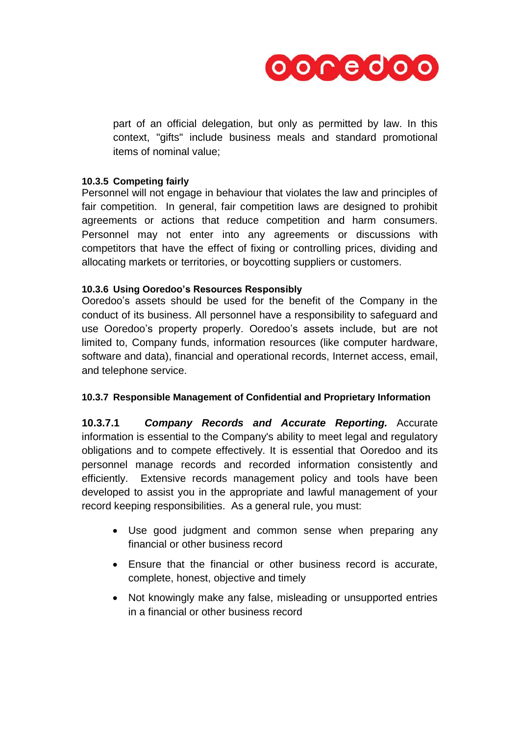

part of an official delegation, but only as permitted by law. In this context, "gifts" include business meals and standard promotional items of nominal value;

### **10.3.5 Competing fairly**

Personnel will not engage in behaviour that violates the law and principles of fair competition. In general, fair competition laws are designed to prohibit agreements or actions that reduce competition and harm consumers. Personnel may not enter into any agreements or discussions with competitors that have the effect of fixing or controlling prices, dividing and allocating markets or territories, or boycotting suppliers or customers.

### **10.3.6 Using Ooredoo's Resources Responsibly**

Ooredoo's assets should be used for the benefit of the Company in the conduct of its business. All personnel have a responsibility to safeguard and use Ooredoo's property properly. Ooredoo's assets include, but are not limited to, Company funds, information resources (like computer hardware, software and data), financial and operational records, Internet access, email, and telephone service.

## **10.3.7 Responsible Management of Confidential and Proprietary Information**

**10.3.7.1** *Company Records and Accurate Reporting.* Accurate information is essential to the Company's ability to meet legal and regulatory obligations and to compete effectively. It is essential that Ooredoo and its personnel manage records and recorded information consistently and efficiently. Extensive records management policy and tools have been developed to assist you in the appropriate and lawful management of your record keeping responsibilities. As a general rule, you must:

- Use good judgment and common sense when preparing any financial or other business record
- Ensure that the financial or other business record is accurate, complete, honest, objective and timely
- Not knowingly make any false, misleading or unsupported entries in a financial or other business record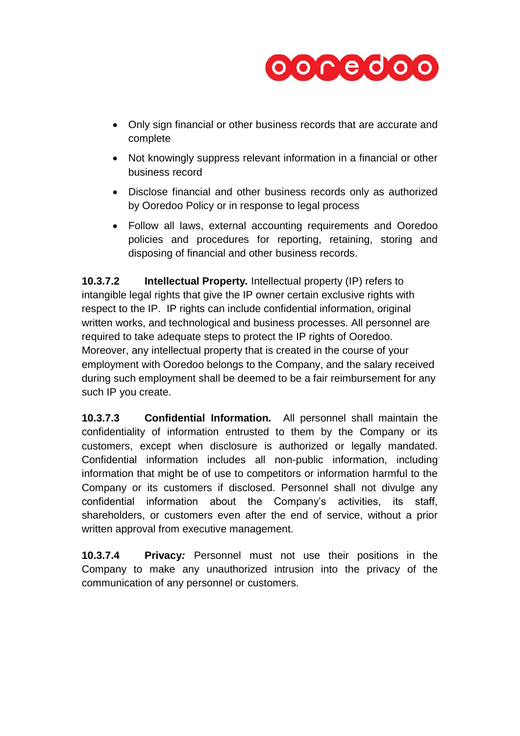

- Only sign financial or other business records that are accurate and complete
- Not knowingly suppress relevant information in a financial or other business record
- Disclose financial and other business records only as authorized by Ooredoo Policy or in response to legal process
- Follow all laws, external accounting requirements and Ooredoo policies and procedures for reporting, retaining, storing and disposing of financial and other business records.

**10.3.7.2 Intellectual Property***.* Intellectual property (IP) refers to intangible legal rights that give the IP owner certain exclusive rights with respect to the IP. IP rights can include confidential information, original written works, and technological and business processes. All personnel are required to take adequate steps to protect the IP rights of Ooredoo. Moreover, any intellectual property that is created in the course of your employment with Ooredoo belongs to the Company, and the salary received during such employment shall be deemed to be a fair reimbursement for any such IP you create.

**10.3.7.3 Confidential Information***.*All personnel shall maintain the confidentiality of information entrusted to them by the Company or its customers, except when disclosure is authorized or legally mandated. Confidential information includes all non-public information, including information that might be of use to competitors or information harmful to the Company or its customers if disclosed. Personnel shall not divulge any confidential information about the Company's activities, its staff, shareholders, or customers even after the end of service, without a prior written approval from executive management.

**10.3.7.4 Privacy***:* Personnel must not use their positions in the Company to make any unauthorized intrusion into the privacy of the communication of any personnel or customers.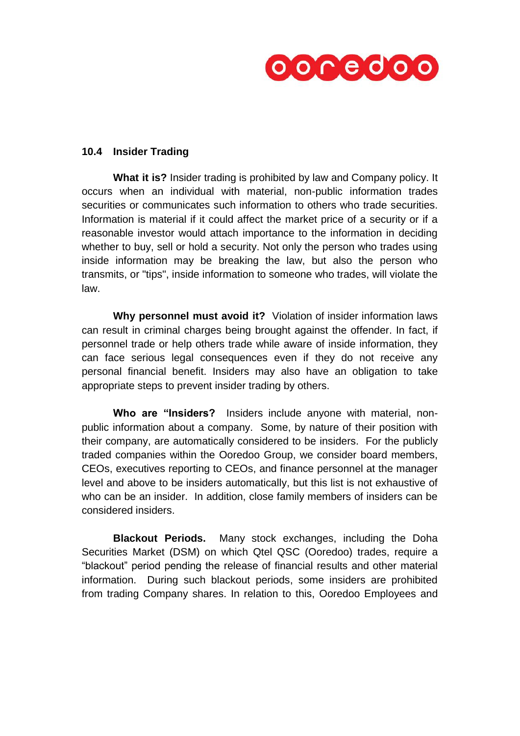

### **10.4 Insider Trading**

**What it is?** Insider trading is prohibited by law and Company policy. It occurs when an individual with material, non-public information trades securities or communicates such information to others who trade securities. Information is material if it could affect the market price of a security or if a reasonable investor would attach importance to the information in deciding whether to buy, sell or hold a security. Not only the person who trades using inside information may be breaking the law, but also the person who transmits, or "tips", inside information to someone who trades, will violate the law.

**Why personnel must avoid it?** Violation of insider information laws can result in criminal charges being brought against the offender. In fact, if personnel trade or help others trade while aware of inside information, they can face serious legal consequences even if they do not receive any personal financial benefit. Insiders may also have an obligation to take appropriate steps to prevent insider trading by others.

**Who are "Insiders?** Insiders include anyone with material, nonpublic information about a company. Some, by nature of their position with their company, are automatically considered to be insiders. For the publicly traded companies within the Ooredoo Group, we consider board members, CEOs, executives reporting to CEOs, and finance personnel at the manager level and above to be insiders automatically, but this list is not exhaustive of who can be an insider. In addition, close family members of insiders can be considered insiders.

**Blackout Periods.** Many stock exchanges, including the Doha Securities Market (DSM) on which Qtel QSC (Ooredoo) trades, require a "blackout" period pending the release of financial results and other material information. During such blackout periods, some insiders are prohibited from trading Company shares. In relation to this, Ooredoo Employees and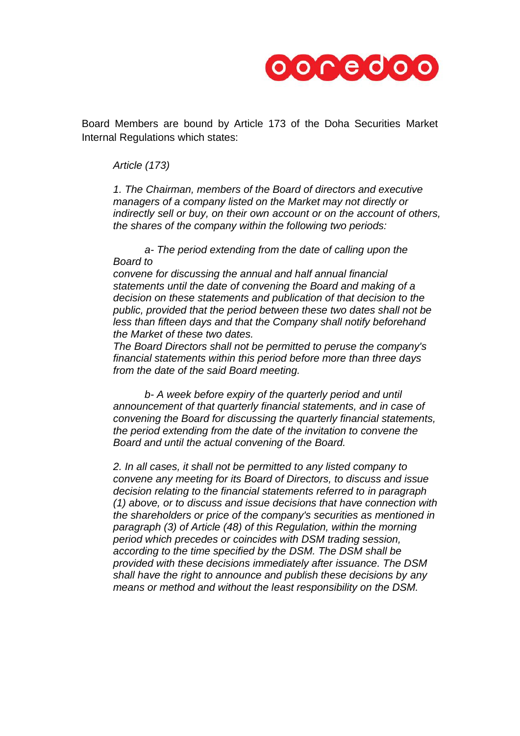

Board Members are bound by Article 173 of the Doha Securities Market Internal Regulations which states:

*Article (173)*

*1. The Chairman, members of the Board of directors and executive managers of a company listed on the Market may not directly or indirectly sell or buy, on their own account or on the account of others, the shares of the company within the following two periods:*

*a- The period extending from the date of calling upon the Board to*

*convene for discussing the annual and half annual financial statements until the date of convening the Board and making of a decision on these statements and publication of that decision to the public, provided that the period between these two dates shall not be less than fifteen days and that the Company shall notify beforehand the Market of these two dates.*

*The Board Directors shall not be permitted to peruse the company's financial statements within this period before more than three days from the date of the said Board meeting.*

*b- A week before expiry of the quarterly period and until announcement of that quarterly financial statements, and in case of convening the Board for discussing the quarterly financial statements, the period extending from the date of the invitation to convene the Board and until the actual convening of the Board.*

*2. In all cases, it shall not be permitted to any listed company to convene any meeting for its Board of Directors, to discuss and issue decision relating to the financial statements referred to in paragraph (1) above, or to discuss and issue decisions that have connection with the shareholders or price of the company's securities as mentioned in paragraph (3) of Article (48) of this Regulation, within the morning period which precedes or coincides with DSM trading session, according to the time specified by the DSM. The DSM shall be provided with these decisions immediately after issuance. The DSM shall have the right to announce and publish these decisions by any means or method and without the least responsibility on the DSM.*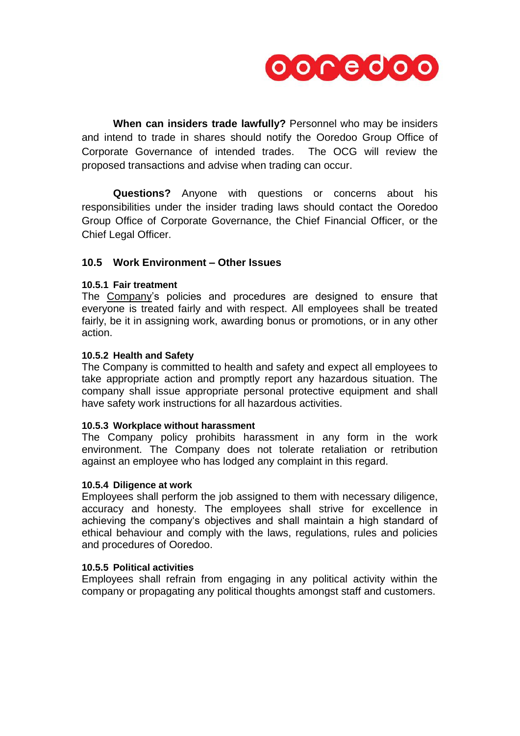

**When can insiders trade lawfully?** Personnel who may be insiders and intend to trade in shares should notify the Ooredoo Group Office of Corporate Governance of intended trades. The OCG will review the proposed transactions and advise when trading can occur.

**Questions?** Anyone with questions or concerns about his responsibilities under the insider trading laws should contact the Ooredoo Group Office of Corporate Governance, the Chief Financial Officer, or the Chief Legal Officer.

### **10.5 Work Environment – Other Issues**

#### **10.5.1 Fair treatment**

The Company's policies and procedures are designed to ensure that everyone is treated fairly and with respect. All employees shall be treated fairly, be it in assigning work, awarding bonus or promotions, or in any other action.

#### **10.5.2 Health and Safety**

The Company is committed to health and safety and expect all employees to take appropriate action and promptly report any hazardous situation. The company shall issue appropriate personal protective equipment and shall have safety work instructions for all hazardous activities.

#### **10.5.3 Workplace without harassment**

The Company policy prohibits harassment in any form in the work environment. The Company does not tolerate retaliation or retribution against an employee who has lodged any complaint in this regard.

#### **10.5.4 Diligence at work**

Employees shall perform the job assigned to them with necessary diligence, accuracy and honesty. The employees shall strive for excellence in achieving the company's objectives and shall maintain a high standard of ethical behaviour and comply with the laws, regulations, rules and policies and procedures of Ooredoo.

#### **10.5.5 Political activities**

Employees shall refrain from engaging in any political activity within the company or propagating any political thoughts amongst staff and customers.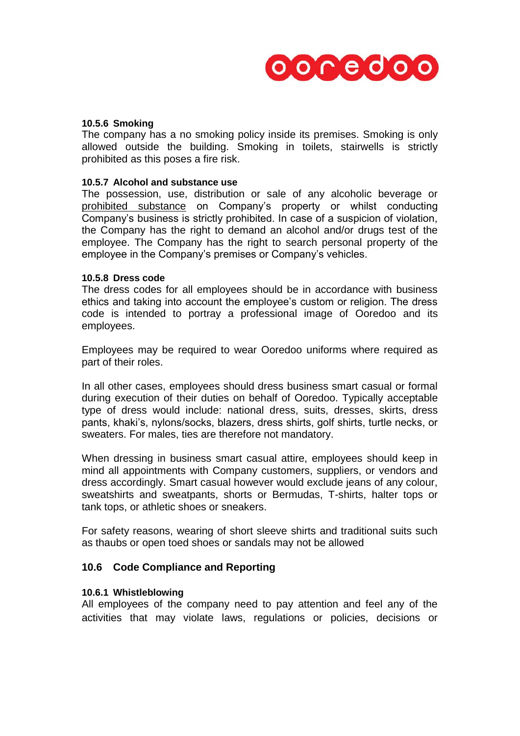

#### **10.5.6 Smoking**

The company has a no smoking policy inside its premises. Smoking is only allowed outside the building. Smoking in toilets, stairwells is strictly prohibited as this poses a fire risk.

#### **10.5.7 Alcohol and substance use**

The possession, use, distribution or sale of any alcoholic beverage or prohibited substance on Company's property or whilst conducting Company's business is strictly prohibited. In case of a suspicion of violation, the Company has the right to demand an alcohol and/or drugs test of the employee. The Company has the right to search personal property of the employee in the Company's premises or Company's vehicles.

#### **10.5.8 Dress code**

The dress codes for all employees should be in accordance with business ethics and taking into account the employee's custom or religion. The dress code is intended to portray a professional image of Ooredoo and its employees.

Employees may be required to wear Ooredoo uniforms where required as part of their roles.

In all other cases, employees should dress business smart casual or formal during execution of their duties on behalf of Ooredoo. Typically acceptable type of dress would include: national dress, suits, dresses, skirts, dress pants, khaki's, nylons/socks, blazers, dress shirts, golf shirts, turtle necks, or sweaters. For males, ties are therefore not mandatory.

When dressing in business smart casual attire, employees should keep in mind all appointments with Company customers, suppliers, or vendors and dress accordingly. Smart casual however would exclude jeans of any colour, sweatshirts and sweatpants, shorts or Bermudas, T-shirts, halter tops or tank tops, or athletic shoes or sneakers.

For safety reasons, wearing of short sleeve shirts and traditional suits such as thaubs or open toed shoes or sandals may not be allowed

#### **10.6 Code Compliance and Reporting**

#### **10.6.1 Whistleblowing**

All employees of the company need to pay attention and feel any of the activities that may violate laws, regulations or policies, decisions or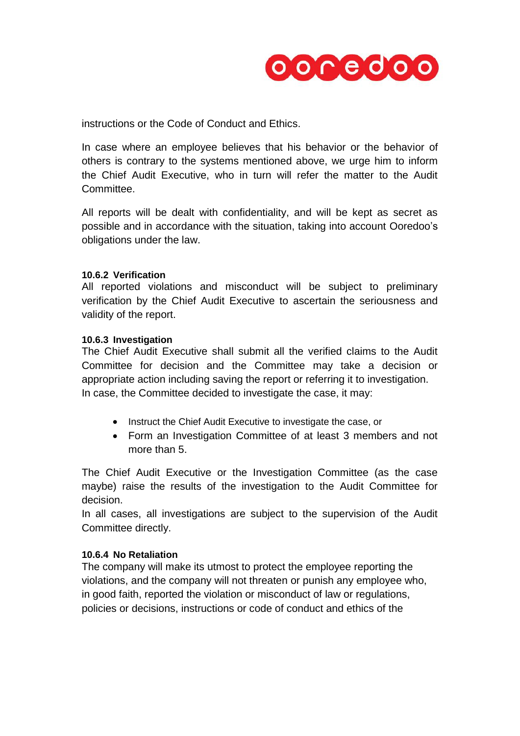

instructions or the Code of Conduct and Ethics.

In case where an employee believes that his behavior or the behavior of others is contrary to the systems mentioned above, we urge him to inform the Chief Audit Executive, who in turn will refer the matter to the Audit Committee.

All reports will be dealt with confidentiality, and will be kept as secret as possible and in accordance with the situation, taking into account Ooredoo's obligations under the law.

#### **10.6.2 Verification**

All reported violations and misconduct will be subject to preliminary verification by the Chief Audit Executive to ascertain the seriousness and validity of the report.

#### **10.6.3 Investigation**

The Chief Audit Executive shall submit all the verified claims to the Audit Committee for decision and the Committee may take a decision or appropriate action including saving the report or referring it to investigation. In case, the Committee decided to investigate the case, it may:

- Instruct the Chief Audit Executive to investigate the case, or
- Form an Investigation Committee of at least 3 members and not more than 5.

The Chief Audit Executive or the Investigation Committee (as the case maybe) raise the results of the investigation to the Audit Committee for decision.

In all cases, all investigations are subject to the supervision of the Audit Committee directly.

## **10.6.4 No Retaliation**

The company will make its utmost to protect the employee reporting the violations, and the company will not threaten or punish any employee who, in good faith, reported the violation or misconduct of law or regulations, policies or decisions, instructions or code of conduct and ethics of the